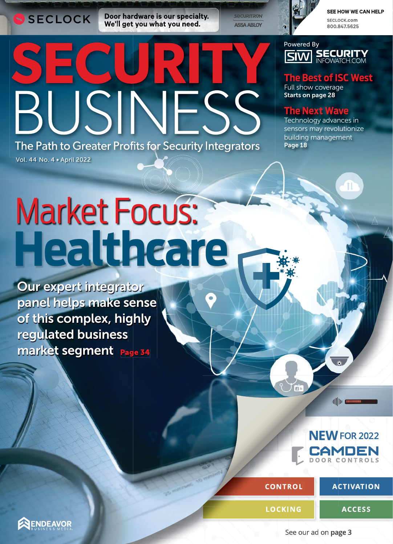SECLOCK

Vol. 44 No. 4 • April 2022

Door hardware is our specialty. We'll get you what you need.

**SECURITRON ASSA ABLOY** 

 $\mathbf C$ 

## SEE HOW WE CAN HELP

SECLOCK.com 800.847.5625

Powered By **SECURITY**<br>INFOWATCH.COM **SM** 

**The Best of ISC West**

Full show coverage Starts on page 28

## **The Next Wave**

Technology advances in sensors may revolutionize building management Page 18

Market Focus: **Healthcare**

JSINES

The Path to Greater Profits for Security Integrators

market segment Page 34 Our expert integrator panel helps make sense of this complex, highly regulated business

> **FOR 2022 NEW CAMDEN DOOR CONTROLS**

dille moment

 $COMTROL$ 

**ACTIVATION** 

**LOCKING**

**ACCESS**

ENDEAVOR

See our ad on **page 3**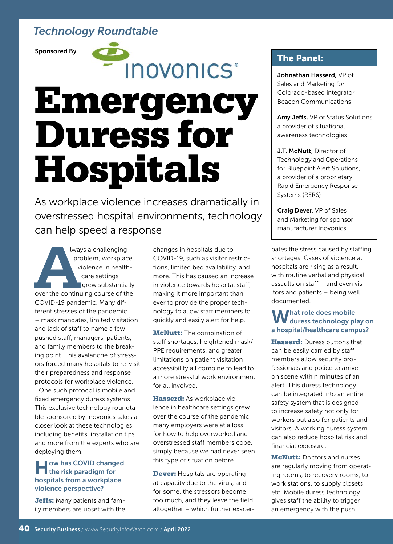# *Technology Roundtable*

Sponsored By

**INOVONICS**\*

# Emergency Duress for Hospitals

As workplace violence increases dramatically in overstressed hospital environments, technology can help speed a response

lways a challenging problem, workplace violence in healthcare settings **grew substantially** over the continuing course of the COVID-19 pandemic. Many different stresses of the pandemic – mask mandates, limited visitation and lack of staff to name a few – pushed staff, managers, patients, and family members to the breaking point. This avalanche of stressors forced many hospitals to re-visit their preparedness and response protocols for workplace violence. **A**

One such protocol is mobile and fixed emergency duress systems. This exclusive technology roundtable sponsored by Inovonics takes a closer look at these technologies, including benefits, installation tips and more from the experts who are deploying them.

#### **Jow has COVID changed If the risk paradigm for** hospitals from a workplace violence perspective?

Jeffs: Many patients and family members are upset with the changes in hospitals due to COVID-19, such as visitor restrictions, limited bed availability, and more. This has caused an increase in violence towards hospital staff, making it more important than ever to provide the proper technology to allow staff members to quickly and easily alert for help.

**McNutt:** The combination of staff shortages, heightened mask/ PPE requirements, and greater limitations on patient visitation accessibility all combine to lead to a more stressful work environment for all involved.

Hasserd: As workplace violence in healthcare settings grew over the course of the pandemic, many employers were at a loss for how to help overworked and overstressed staff members cope, simply because we had never seen this type of situation before.

**Dever:** Hospitals are operating at capacity due to the virus, and for some, the stressors become too much, and they leave the field altogether – which further exacer-

## The Panel:

Johnathan Hasserd, VP of Sales and Marketing for Colorado-based integrator Beacon Communications

Amy Jeffs, VP of Status Solutions, a provider of situational awareness technologies

**J.T. McNutt**, Director of Technology and Operations for Bluepoint Alert Solutions, a provider of a proprietary Rapid Emergency Response Systems (RERS)

Craig Dever, VP of Sales and Marketing for sponsor manufacturer Inovonics

bates the stress caused by staffing shortages. Cases of violence at hospitals are rising as a result, with routine verbal and physical assaults on staff – and even visitors and patients – being well documented.

# What role does mobile<br>W duress technology play on a hospital/healthcare campus?

Hasserd: Duress buttons that can be easily carried by staff members allow security professionals and police to arrive on scene within minutes of an alert. This duress technology can be integrated into an entire safety system that is designed to increase safety not only for workers but also for patients and visitors. A working duress system can also reduce hospital risk and financial exposure.

**McNutt: Doctors and nurses** are regularly moving from operating rooms, to recovery rooms, to work stations, to supply closets, etc. Mobile duress technology gives staff the ability to trigger an emergency with the push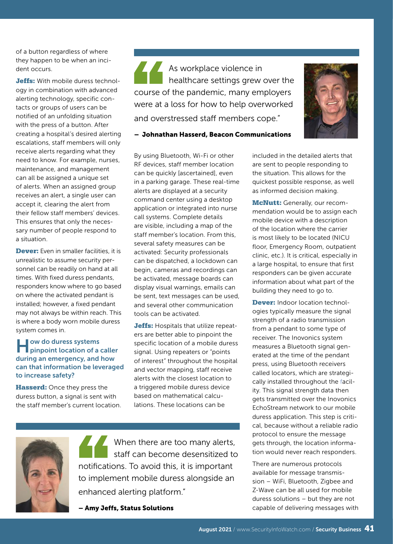of a button regardless of where they happen to be when an incident occurs.

**Jeffs:** With mobile duress technology in combination with advanced alerting technology, specific contacts or groups of users can be notified of an unfolding situation with the press of a button. After creating a hospital's desired alerting escalations, staff members will only receive alerts regarding what they need to know. For example, nurses, maintenance, and management can all be assigned a unique set of alerts. When an assigned group receives an alert, a single user can accept it, clearing the alert from their fellow staff members' devices. This ensures that only the necessary number of people respond to a situation.

Dever: Even in smaller facilities, it is unrealistic to assume security personnel can be readily on hand at all times. With fixed duress pendants, responders know where to go based on where the activated pendant is installed; however, a fixed pendant may not always be within reach. This is where a body worn mobile duress system comes in.

### How do duress systems pinpoint location of a caller during an emergency, and how can that information be leveraged to increase safety?

Hasserd: Once they press the duress button, a signal is sent with the staff member's current location. As workplace violence in healthcare settings grew over the course of the pandemic, many employers were at a loss for how to help overworked and overstressed staff members cope."



– Johnathan Hasserd, Beacon Communications

By using Bluetooth, Wi-Fi or other RF devices, staff member location can be quickly [ascertained], even in a parking garage. These real-time alerts are displayed at a security command center using a desktop application or integrated into nurse call systems. Complete details are visible, including a map of the staff member's location. From this, several safety measures can be activated: Security professionals can be dispatched, a lockdown can begin, cameras and recordings can be activated, message boards can display visual warnings, emails can be sent, text messages can be used, and several other communication tools can be activated.

Jeffs: Hospitals that utilize repeaters are better able to pinpoint the specific location of a mobile duress signal. Using repeaters or "points of interest" throughout the hospital and vector mapping, staff receive alerts with the closest location to a triggered mobile duress device based on mathematical calculations. These locations can be



When there are too many alerts, staff can become desensitized to notifications. To avoid this, it is important to implement mobile duress alongside an enhanced alerting platform."

– Amy Jeffs, Status Solutions

included in the detailed alerts that are sent to people responding to the situation. This allows for the quickest possible response, as well as informed decision making.

**McNutt:** Generally, our recommendation would be to assign each mobile device with a description of the location where the carrier is most likely to be located (NICU floor, Emergency Room, outpatient clinic, etc.). It is critical, especially in a large hospital, to ensure that first responders can be given accurate information about what part of the building they need to go to.

**Dever:** Indoor location technologies typically measure the signal strength of a radio transmission from a pendant to some type of receiver. The Inovonics system measures a Bluetooth signal generated at the time of the pendant press, using Bluetooth receivers called locators, which are strategically installed throughout the facility. This signal strength data then gets transmitted over the Inovonics EchoStream network to our mobile duress application. This step is critical, because without a reliable radio protocol to ensure the message gets through, the location information would never reach responders.

There are numerous protocols available for message transmission – WiFi, Bluetooth, Zigbee and Z-Wave can be all used for mobile duress solutions – but they are not capable of delivering messages with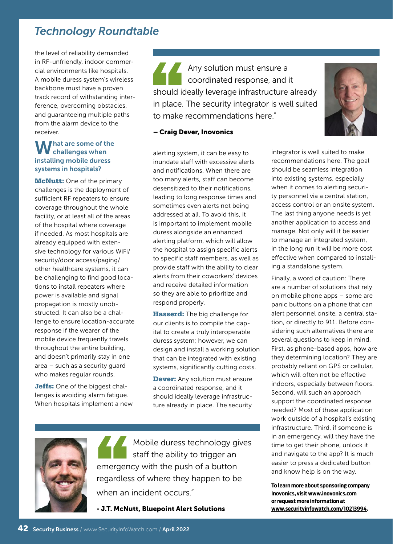# *Technology Roundtable*

the level of reliability demanded in RF-unfriendly, indoor commercial environments like hospitals. A mobile duress system's wireless backbone must have a proven track record of withstanding interference, overcoming obstacles, and guaranteeing multiple paths from the alarm device to the receiver.

#### I hat are some of the challenges when installing mobile duress systems in hospitals?

**McNutt:** One of the primary challenges is the deployment of sufficient RF repeaters to ensure coverage throughout the whole facility, or at least all of the areas of the hospital where coverage if needed. As most hospitals are already equipped with extensive technology for various WiFi/ security/door access/paging/ other healthcare systems, it can be challenging to find good locations to install repeaters where power is available and signal propagation is mostly unobstructed. It can also be a challenge to ensure location-accurate response if the wearer of the mobile device frequently travels throughout the entire building, and doesn't primarily stay in one area – such as a security guard who makes regular rounds.

Jeffs: One of the biggest challenges is avoiding alarm fatigue. When hospitals implement a new

Any solution must ensure a coordinated response, and it should ideally leverage infrastructure already in place. The security integrator is well suited to make recommendations here."



#### – Craig Dever, Inovonics

alerting system, it can be easy to inundate staff with excessive alerts and notifications. When there are too many alerts, staff can become desensitized to their notifications, leading to long response times and sometimes even alerts not being addressed at all. To avoid this, it is important to implement mobile duress alongside an enhanced alerting platform, which will allow the hospital to assign specific alerts to specific staff members, as well as provide staff with the ability to clear alerts from their coworkers' devices and receive detailed information so they are able to prioritize and respond properly.

Hasserd: The big challenge for our clients is to compile the capital to create a truly interoperable duress system; however, we can design and install a working solution that can be integrated with existing systems, significantly cutting costs.

**Dever:** Any solution must ensure a coordinated response, and it should ideally leverage infrastructure already in place. The security



Mobile duress technology gives staff the ability to trigger an emergency with the push of a button regardless of where they happen to be when an incident occurs."

- J.T. McNutt, Bluepoint Alert Solutions

integrator is well suited to make recommendations here. The goal should be seamless integration into existing systems, especially when it comes to alerting security personnel via a central station, access control or an onsite system. The last thing anyone needs is yet another application to access and manage. Not only will it be easier to manage an integrated system, in the long run it will be more cost effective when compared to installing a standalone system.

Finally, a word of caution: There are a number of solutions that rely on mobile phone apps – some are panic buttons on a phone that can alert personnel onsite, a central station, or directly to 911. Before considering such alternatives there are several questions to keep in mind. First, as phone-based apps, how are they determining location? They are probably reliant on GPS or cellular, which will often not be effective indoors, especially between floors. Second, will such an approach support the coordinated response needed? Most of these application work outside of a hospital's existing infrastructure. Third, if someone is in an emergency, will they have the time to get their phone, unlock it and navigate to the app? It is much easier to press a dedicated button and know help is on the way.

**To learn more about sponsoring company Inovonics, visit www.inovonics.com or request more information at www.securityinfowatch.com/10213994.**